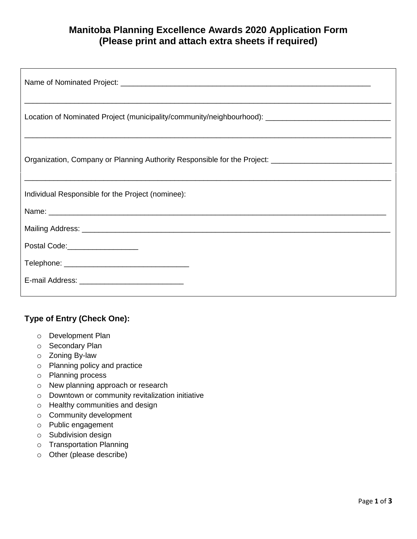## **Manitoba Planning Excellence Awards 2020 Application Form (Please print and attach extra sheets if required)**

| Location of Nominated Project (municipality/community/neighbourhood): ______________________________ |
|------------------------------------------------------------------------------------------------------|
| Organization, Company or Planning Authority Responsible for the Project: __________________________  |
| Individual Responsible for the Project (nominee):                                                    |
|                                                                                                      |
|                                                                                                      |
| Postal Code:___________________                                                                      |
|                                                                                                      |
|                                                                                                      |

## **Type of Entry (Check One):**

- o Development Plan
- o Secondary Plan
- o Zoning By-law
- o Planning policy and practice
- o Planning process
- o New planning approach or research
- o Downtown or community revitalization initiative
- o Healthy communities and design
- o Community development
- o Public engagement
- o Subdivision design
- o Transportation Planning
- o Other (please describe)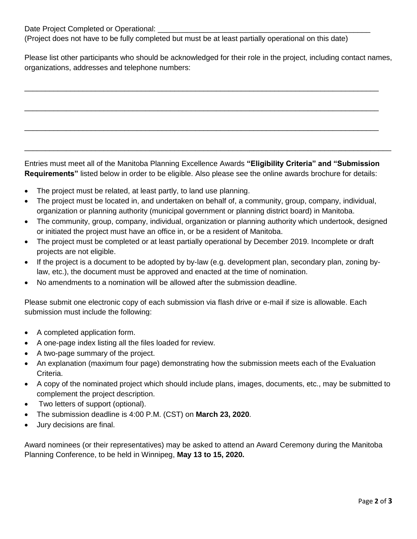Date Project Completed or Operational: \_\_\_\_\_\_\_\_\_\_\_\_\_\_\_\_\_\_\_\_\_\_\_\_\_\_\_\_\_\_\_\_\_\_\_\_\_\_\_\_\_\_\_\_\_\_\_\_\_\_\_

(Project does not have to be fully completed but must be at least partially operational on this date)

Please list other participants who should be acknowledged for their role in the project, including contact names, organizations, addresses and telephone numbers:

\_\_\_\_\_\_\_\_\_\_\_\_\_\_\_\_\_\_\_\_\_\_\_\_\_\_\_\_\_\_\_\_\_\_\_\_\_\_\_\_\_\_\_\_\_\_\_\_\_\_\_\_\_\_\_\_\_\_\_\_\_\_\_\_\_\_\_\_\_\_\_\_\_\_\_\_\_\_\_\_\_\_\_\_\_

\_\_\_\_\_\_\_\_\_\_\_\_\_\_\_\_\_\_\_\_\_\_\_\_\_\_\_\_\_\_\_\_\_\_\_\_\_\_\_\_\_\_\_\_\_\_\_\_\_\_\_\_\_\_\_\_\_\_\_\_\_\_\_\_\_\_\_\_\_\_\_\_\_\_\_\_\_\_\_\_\_\_\_\_\_

\_\_\_\_\_\_\_\_\_\_\_\_\_\_\_\_\_\_\_\_\_\_\_\_\_\_\_\_\_\_\_\_\_\_\_\_\_\_\_\_\_\_\_\_\_\_\_\_\_\_\_\_\_\_\_\_\_\_\_\_\_\_\_\_\_\_\_\_\_\_\_\_\_\_\_\_\_\_\_\_\_\_\_\_\_

Entries must meet all of the Manitoba Planning Excellence Awards **"Eligibility Criteria" and "Submission Requirements"** listed below in order to be eligible. Also please see the online awards brochure for details:

\_\_\_\_\_\_\_\_\_\_\_\_\_\_\_\_\_\_\_\_\_\_\_\_\_\_\_\_\_\_\_\_\_\_\_\_\_\_\_\_\_\_\_\_\_\_\_\_\_\_\_\_\_\_\_\_\_\_\_\_\_\_\_\_\_\_\_\_\_\_\_\_\_\_\_\_\_\_\_\_\_\_\_\_\_\_\_\_

- The project must be related, at least partly, to land use planning.
- The project must be located in, and undertaken on behalf of, a community, group, company, individual, organization or planning authority (municipal government or planning district board) in Manitoba.
- The community, group, company, individual, organization or planning authority which undertook, designed or initiated the project must have an office in, or be a resident of Manitoba.
- The project must be completed or at least partially operational by December 2019. Incomplete or draft projects are not eligible.
- If the project is a document to be adopted by by-law (e.g. development plan, secondary plan, zoning bylaw, etc.), the document must be approved and enacted at the time of nomination.
- No amendments to a nomination will be allowed after the submission deadline.

Please submit one electronic copy of each submission via flash drive or e-mail if size is allowable. Each submission must include the following:

- A completed application form.
- A one-page index listing all the files loaded for review.
- A two-page summary of the project.
- An explanation (maximum four page) demonstrating how the submission meets each of the Evaluation Criteria.
- A copy of the nominated project which should include plans, images, documents, etc., may be submitted to complement the project description.
- Two letters of support (optional).
- The submission deadline is 4:00 P.M. (CST) on **March 23, 2020**.
- Jury decisions are final.

Award nominees (or their representatives) may be asked to attend an Award Ceremony during the Manitoba Planning Conference, to be held in Winnipeg, **May 13 to 15, 2020.**